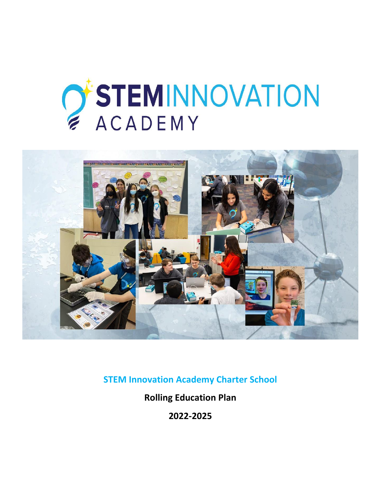# O'STEMINNOVATION **ACADEMY**



**STEM Innovation Academy Charter School**

**Rolling Education Plan**

**2022-2025**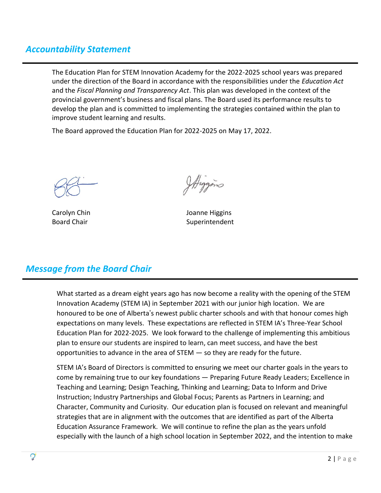#### *Accountability Statement*

The Education Plan for STEM Innovation Academy for the 2022-2025 school years was prepared under the direction of the Board in accordance with the responsibilities under the *Education Act* and the *Fiscal Planning and Transparency Act*. This plan was developed in the context of the provincial government's business and fiscal plans. The Board used its performance results to develop the plan and is committed to implementing the strategies contained within the plan to improve student learning and results.

The Board approved the Education Plan for 2022-2025 on May 17, 2022.

Ittiggins

Carolyn Chin Joanne Higgins Board Chair **Superintendent** Superintendent

## *Message from the Board Chair*

What started as a dream eight years ago has now become a reality with the opening of the STEM Innovation Academy (STEM IA) in September 2021 with our junior high location. We are honoured to be one of Alberta's newest public charter schools and with that honour comes high expectations on many levels. These expectations are reflected in STEM IA's Three-Year School Education Plan for 2022-2025. We look forward to the challenge of implementing this ambitious plan to ensure our students are inspired to learn, can meet success, and have the best opportunities to advance in the area of STEM — so they are ready for the future.

STEM IA's Board of Directors is committed to ensuring we meet our charter goals in the years to come by remaining true to our key foundations — Preparing Future Ready Leaders; Excellence in Teaching and Learning; Design Teaching, Thinking and Learning; Data to Inform and Drive Instruction; Industry Partnerships and Global Focus; Parents as Partners in Learning; and Character, Community and Curiosity. Our education plan is focused on relevant and meaningful strategies that are in alignment with the outcomes that are identified as part of the Alberta Education Assurance Framework. We will continue to refine the plan as the years unfold especially with the launch of a high school location in September 2022, and the intention to make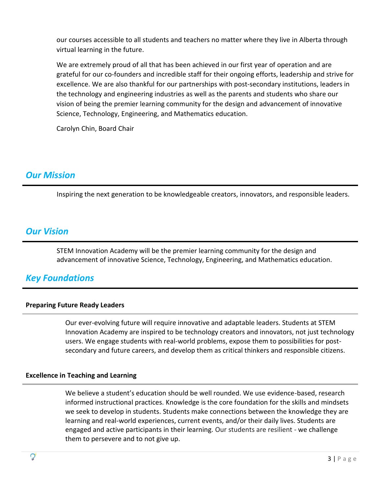our courses accessible to all students and teachers no matter where they live in Alberta through virtual learning in the future.

We are extremely proud of all that has been achieved in our first year of operation and are grateful for our co-founders and incredible staff for their ongoing efforts, leadership and strive for excellence. We are also thankful for our partnerships with post-secondary institutions, leaders in the technology and engineering industries as well as the parents and students who share our vision of being the premier learning community for the design and advancement of innovative Science, Technology, Engineering, and Mathematics education.

Carolyn Chin, Board Chair

#### *Our Mission*

Inspiring the next generation to be knowledgeable creators, innovators, and responsible leaders.

#### *Our Vision*

STEM Innovation Academy will be the premier learning community for the design and advancement of innovative Science, Technology, Engineering, and Mathematics education.

#### *Key Foundations*

#### **Preparing Future Ready Leaders**

Our ever-evolving future will require innovative and adaptable leaders. Students at STEM Innovation Academy are inspired to be technology creators and innovators, not just technology users. We engage students with real-world problems, expose them to possibilities for postsecondary and future careers, and develop them as critical thinkers and responsible citizens.

#### **Excellence in Teaching and Learning**

We believe a student's education should be well rounded. We use evidence-based, research informed instructional practices. Knowledge is the core foundation for the skills and mindsets we seek to develop in students. Students make connections between the knowledge they are learning and real-world experiences, current events, and/or their daily lives. Students are engaged and active participants in their learning. Our students are resilient - we challenge them to persevere and to not give up.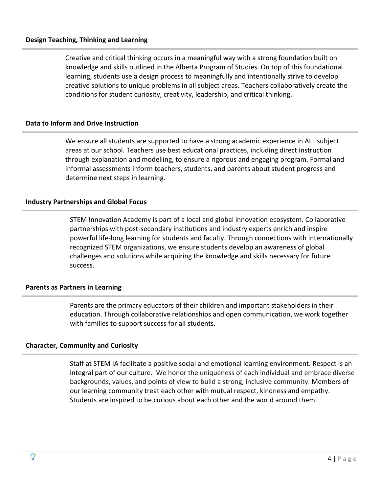Creative and critical thinking occurs in a meaningful way with a strong foundation built on knowledge and skills outlined in the Alberta Program of Studies. On top of this foundational learning, students use a design process to meaningfully and intentionally strive to develop creative solutions to unique problems in all subject areas. Teachers collaboratively create the conditions for student curiosity, creativity, leadership, and critical thinking.

#### **Data to Inform and Drive Instruction**

We ensure all students are supported to have a strong academic experience in ALL subject areas at our school. Teachers use best educational practices, including direct instruction through explanation and modelling, to ensure a rigorous and engaging program. Formal and informal assessments inform teachers, students, and parents about student progress and determine next steps in learning.

#### **Industry Partnerships and Global Focus**

STEM Innovation Academy is part of a local and global innovation ecosystem. Collaborative partnerships with post-secondary institutions and industry experts enrich and inspire powerful life-long learning for students and faculty. Through connections with internationally recognized STEM organizations, we ensure students develop an awareness of global challenges and solutions while acquiring the knowledge and skills necessary for future success.

#### **Parents as Partners in Learning**

Parents are the primary educators of their children and important stakeholders in their education. Through collaborative relationships and open communication, we work together with families to support success for all students.

#### **Character, Community and Curiosity**

Staff at STEM IA facilitate a positive social and emotional learning environment. Respect is an integral part of our culture. We honor the uniqueness of each individual and embrace diverse backgrounds, values, and points of view to build a strong, inclusive community. Members of our learning community treat each other with mutual respect, kindness and empathy. Students are inspired to be curious about each other and the world around them.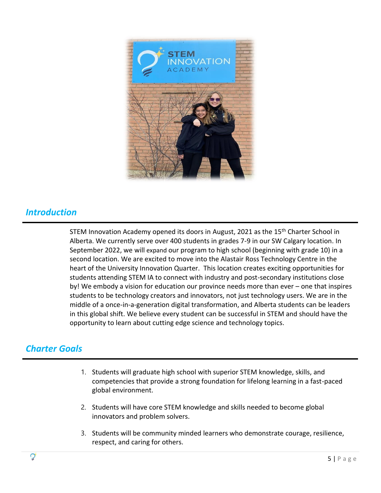

#### *Introduction*

STEM Innovation Academy opened its doors in August, 2021 as the 15<sup>th</sup> Charter School in Alberta. We currently serve over 400 students in grades 7-9 in our SW Calgary location. In September 2022, we will expand our program to high school (beginning with grade 10) in a second location. We are excited to move into the Alastair Ross Technology Centre in the heart of the University Innovation Quarter. This location creates exciting opportunities for students attending STEM IA to connect with industry and post-secondary institutions close by! We embody a vision for education our province needs more than ever – one that inspires students to be technology creators and innovators, not just technology users. We are in the middle of a once-in-a-generation digital transformation, and Alberta students can be leaders in this global shift. We believe every student can be successful in STEM and should have the opportunity to learn about cutting edge science and technology topics.

## *Charter Goals*

- 1. Students will graduate high school with superior STEM knowledge, skills, and competencies that provide a strong foundation for lifelong learning in a fast-paced global environment.
- 2. Students will have core STEM knowledge and skills needed to become global innovators and problem solvers.
- 3. Students will be community minded learners who demonstrate courage, resilience, respect, and caring for others.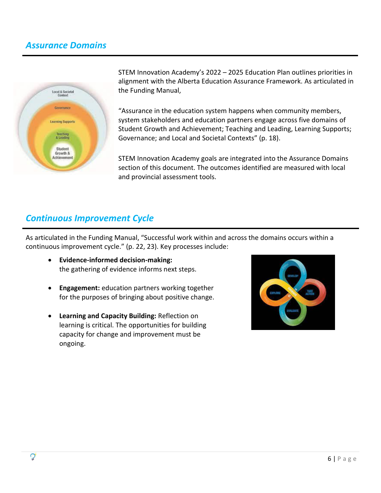#### *Assurance Domains*



STEM Innovation Academy's 2022 – 2025 Education Plan outlines priorities in alignment with the Alberta Education Assurance Framework. As articulated in the Funding Manual,

"Assurance in the education system happens when community members, system stakeholders and education partners engage across five domains of Student Growth and Achievement; Teaching and Leading, Learning Supports; Governance; and Local and Societal Contexts" (p. 18).

STEM Innovation Academy goals are integrated into the Assurance Domains section of this document. The outcomes identified are measured with local and provincial assessment tools.

#### *Continuous Improvement Cycle*

As articulated in the Funding Manual, "Successful work within and across the domains occurs within a continuous improvement cycle." (p. 22, 23). Key processes include:

- **Evidence-informed decision-making:**  the gathering of evidence informs next steps.
- **Engagement:** education partners working together for the purposes of bringing about positive change.
- **Learning and Capacity Building:** Reflection on learning is critical. The opportunities for building capacity for change and improvement must be ongoing.

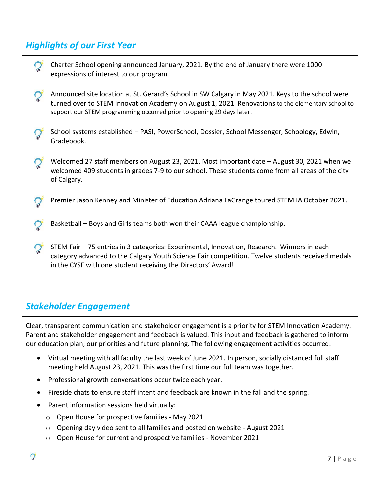## *Highlights of our First Year*

Charter School opening announced January, 2021. By the end of January there were 1000 expressions of interest to our program. Announced site location at St. Gerard's School in SW Calgary in May 2021. Keys to the school were turned over to STEM Innovation Academy on August 1, 2021. Renovations to the elementary school to support our STEM programming occurred prior to opening 29 days later. School systems established – PASI, PowerSchool, Dossier, School Messenger, Schoology, Edwin, Gradebook. Welcomed 27 staff members on August 23, 2021. Most important date – August 30, 2021 when we welcomed 409 students in grades 7-9 to our school. These students come from all areas of the city of Calgary. Premier Jason Kenney and Minister of Education Adriana LaGrange toured STEM IA October 2021. Basketball – Boys and Girls teams both won their CAAA league championship. STEM Fair – 75 entries in 3 categories: Experimental, Innovation, Research. Winners in each category advanced to the Calgary Youth Science Fair competition. Twelve students received medals in the CYSF with one student receiving the Directors' Award!

## *Stakeholder Engagement*

Clear, transparent communication and stakeholder engagement is a priority for STEM Innovation Academy. Parent and stakeholder engagement and feedback is valued. This input and feedback is gathered to inform our education plan, our priorities and future planning. The following engagement activities occurred:

- Virtual meeting with all faculty the last week of June 2021. In person, socially distanced full staff meeting held August 23, 2021. This was the first time our full team was together.
- Professional growth conversations occur twice each year.
- Fireside chats to ensure staff intent and feedback are known in the fall and the spring.
- Parent information sessions held virtually:
	- $\circ$  Open House for prospective families May 2021
	- $\circ$  Opening day video sent to all families and posted on website August 2021
	- $\circ$  Open House for current and prospective families November 2021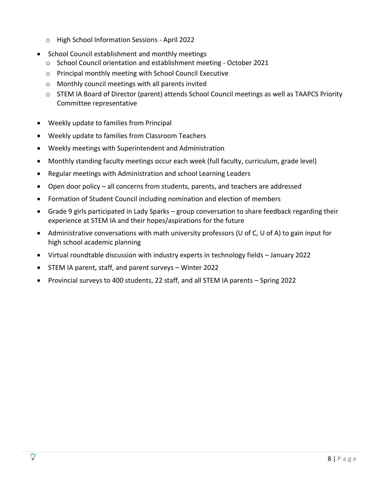- $\circ$  High School Information Sessions April 2022
- School Council establishment and monthly meetings
	- o School Council orientation and establishment meeting October 2021
	- o Principal monthly meeting with School Council Executive
	- o Monthly council meetings with all parents invited
	- $\circ$  STEM IA Board of Director (parent) attends School Council meetings as well as TAAPCS Priority Committee representative
- Weekly update to families from Principal
- Weekly update to families from Classroom Teachers
- Weekly meetings with Superintendent and Administration
- Monthly standing faculty meetings occur each week (full faculty, curriculum, grade level)
- Regular meetings with Administration and school Learning Leaders
- Open door policy all concerns from students, parents, and teachers are addressed
- Formation of Student Council including nomination and election of members
- Grade 9 girls participated in Lady Sparks group conversation to share feedback regarding their experience at STEM IA and their hopes/aspirations for the future
- Administrative conversations with math university professors (U of C, U of A) to gain input for high school academic planning
- Virtual roundtable discussion with industry experts in technology fields January 2022
- STEM IA parent, staff, and parent surveys Winter 2022
- Provincial surveys to 400 students, 22 staff, and all STEM IA parents Spring 2022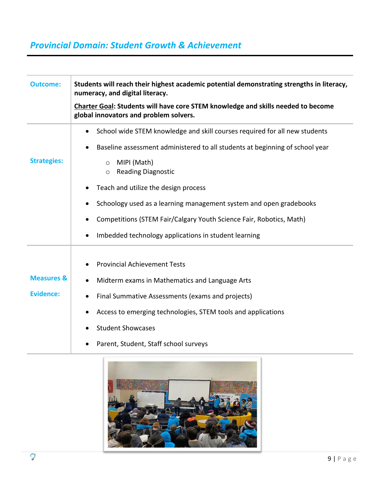# *Provincial Domain: Student Growth & Achievement*

| <b>Outcome:</b>                           | Students will reach their highest academic potential demonstrating strengths in literacy,<br>numeracy, and digital literacy.<br><b>Charter Goal: Students will have core STEM knowledge and skills needed to become</b><br>global innovators and problem solvers.                           |
|-------------------------------------------|---------------------------------------------------------------------------------------------------------------------------------------------------------------------------------------------------------------------------------------------------------------------------------------------|
| <b>Strategies:</b>                        | School wide STEM knowledge and skill courses required for all new students<br>$\bullet$<br>Baseline assessment administered to all students at beginning of school year<br>MIPI (Math)<br>$\circ$<br><b>Reading Diagnostic</b><br>$\circ$                                                   |
|                                           | Teach and utilize the design process<br>Schoology used as a learning management system and open gradebooks<br>Competitions (STEM Fair/Calgary Youth Science Fair, Robotics, Math)<br>Imbedded technology applications in student learning                                                   |
| <b>Measures &amp;</b><br><b>Evidence:</b> | <b>Provincial Achievement Tests</b><br>Midterm exams in Mathematics and Language Arts<br>Final Summative Assessments (exams and projects)<br>$\bullet$<br>Access to emerging technologies, STEM tools and applications<br><b>Student Showcases</b><br>Parent, Student, Staff school surveys |

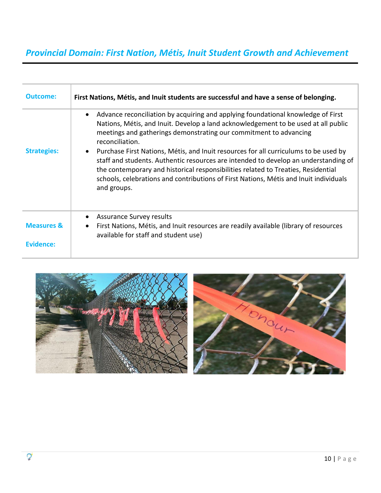# *Provincial Domain: First Nation, Métis, Inuit Student Growth and Achievement*

| <b>Outcome:</b>                    | First Nations, Métis, and Inuit students are successful and have a sense of belonging.                                                                                                                                                                                                                                                                                                                                                                                                                                                                                                                                                                               |
|------------------------------------|----------------------------------------------------------------------------------------------------------------------------------------------------------------------------------------------------------------------------------------------------------------------------------------------------------------------------------------------------------------------------------------------------------------------------------------------------------------------------------------------------------------------------------------------------------------------------------------------------------------------------------------------------------------------|
| <b>Strategies:</b>                 | Advance reconciliation by acquiring and applying foundational knowledge of First<br>$\bullet$<br>Nations, Métis, and Inuit. Develop a land acknowledgement to be used at all public<br>meetings and gatherings demonstrating our commitment to advancing<br>reconciliation.<br>Purchase First Nations, Métis, and Inuit resources for all curriculums to be used by<br>$\bullet$<br>staff and students. Authentic resources are intended to develop an understanding of<br>the contemporary and historical responsibilities related to Treaties, Residential<br>schools, celebrations and contributions of First Nations, Métis and Inuit individuals<br>and groups. |
| <b>Measures &amp;</b><br>Evidence: | <b>Assurance Survey results</b><br>$\bullet$<br>First Nations, Métis, and Inuit resources are readily available (library of resources<br>$\bullet$<br>available for staff and student use)                                                                                                                                                                                                                                                                                                                                                                                                                                                                           |

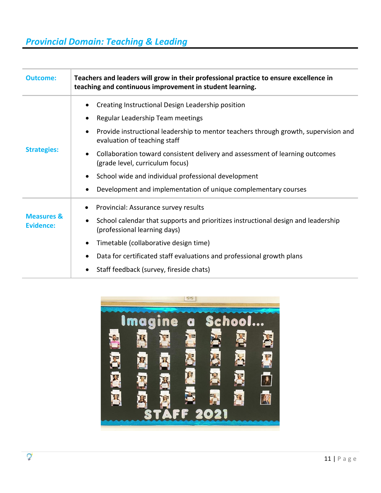# *Provincial Domain: Teaching & Leading*

| <b>Outcome:</b>                           | Teachers and leaders will grow in their professional practice to ensure excellence in<br>teaching and continuous improvement in student learning. |
|-------------------------------------------|---------------------------------------------------------------------------------------------------------------------------------------------------|
| <b>Strategies:</b>                        | Creating Instructional Design Leadership position                                                                                                 |
|                                           | Regular Leadership Team meetings<br>٠                                                                                                             |
|                                           | Provide instructional leadership to mentor teachers through growth, supervision and<br>$\bullet$<br>evaluation of teaching staff                  |
|                                           | Collaboration toward consistent delivery and assessment of learning outcomes<br>٠<br>(grade level, curriculum focus)                              |
|                                           | School wide and individual professional development<br>$\bullet$                                                                                  |
|                                           | Development and implementation of unique complementary courses<br>$\bullet$                                                                       |
| <b>Measures &amp;</b><br><b>Evidence:</b> | Provincial: Assurance survey results                                                                                                              |
|                                           | School calendar that supports and prioritizes instructional design and leadership<br>٠<br>(professional learning days)                            |
|                                           | Timetable (collaborative design time)<br>$\bullet$                                                                                                |
|                                           | Data for certificated staff evaluations and professional growth plans                                                                             |
|                                           | Staff feedback (survey, fireside chats)                                                                                                           |

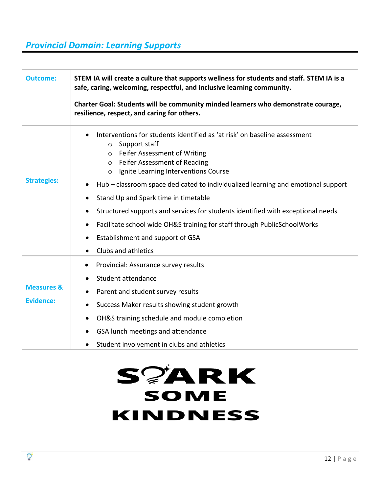## *Provincial Domain: Learning Supports*

| <b>Outcome:</b>       | STEM IA will create a culture that supports wellness for students and staff. STEM IA is a<br>safe, caring, welcoming, respectful, and inclusive learning community.                                                       |
|-----------------------|---------------------------------------------------------------------------------------------------------------------------------------------------------------------------------------------------------------------------|
|                       | Charter Goal: Students will be community minded learners who demonstrate courage,<br>resilience, respect, and caring for others.                                                                                          |
| <b>Strategies:</b>    | Interventions for students identified as 'at risk' on baseline assessment<br>$\circ$ Support staff<br>o Feifer Assessment of Writing<br>o Feifer Assessment of Reading<br>Ignite Learning Interventions Course<br>$\circ$ |
|                       | Hub – classroom space dedicated to individualized learning and emotional support<br>٠                                                                                                                                     |
|                       | Stand Up and Spark time in timetable                                                                                                                                                                                      |
|                       | Structured supports and services for students identified with exceptional needs<br>$\bullet$                                                                                                                              |
|                       | Facilitate school wide OH&S training for staff through PublicSchoolWorks<br>$\bullet$                                                                                                                                     |
|                       | Establishment and support of GSA<br>٠                                                                                                                                                                                     |
|                       | Clubs and athletics<br>$\bullet$                                                                                                                                                                                          |
|                       | Provincial: Assurance survey results<br>$\bullet$                                                                                                                                                                         |
|                       | Student attendance<br>$\bullet$                                                                                                                                                                                           |
| <b>Measures &amp;</b> | Parent and student survey results                                                                                                                                                                                         |
| Evidence:             | Success Maker results showing student growth<br>$\bullet$                                                                                                                                                                 |
|                       | OH&S training schedule and module completion<br>$\bullet$                                                                                                                                                                 |
|                       | GSA lunch meetings and attendance<br>٠                                                                                                                                                                                    |
|                       | Student involvement in clubs and athletics                                                                                                                                                                                |

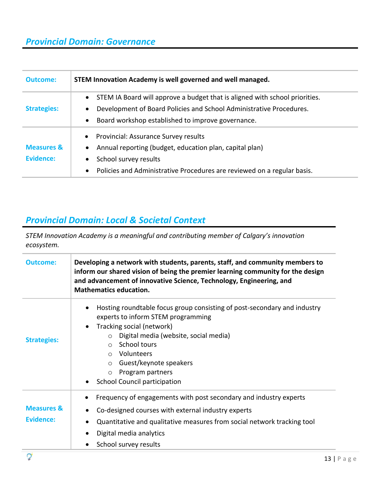## *Provincial Domain: Governance*

| <b>Outcome:</b>                           | STEM Innovation Academy is well governed and well managed.                                                                                                           |
|-------------------------------------------|----------------------------------------------------------------------------------------------------------------------------------------------------------------------|
| <b>Strategies:</b>                        | STEM IA Board will approve a budget that is aligned with school priorities.<br>$\bullet$<br>Development of Board Policies and School Administrative Procedures.<br>٠ |
| <b>Measures &amp;</b><br><b>Fvidence:</b> | Board workshop established to improve governance.<br>$\bullet$<br>Provincial: Assurance Survey results<br>$\bullet$                                                  |
|                                           | Annual reporting (budget, education plan, capital plan)<br>$\bullet$<br>School survey results<br>٠                                                                   |
|                                           | Policies and Administrative Procedures are reviewed on a regular basis.<br>$\bullet$                                                                                 |

## *Provincial Domain: Local & Societal Context*

*STEM Innovation Academy is a meaningful and contributing member of Calgary's innovation ecosystem.* 

| <b>Outcome:</b>                    | Developing a network with students, parents, staff, and community members to<br>inform our shared vision of being the premier learning community for the design<br>and advancement of innovative Science, Technology, Engineering, and<br><b>Mathematics education.</b>                                                                                                    |
|------------------------------------|----------------------------------------------------------------------------------------------------------------------------------------------------------------------------------------------------------------------------------------------------------------------------------------------------------------------------------------------------------------------------|
| <b>Strategies:</b>                 | Hosting roundtable focus group consisting of post-secondary and industry<br>experts to inform STEM programming<br>Tracking social (network)<br>$\bullet$<br>Digital media (website, social media)<br>$\circ$<br>School tours<br>$\circ$<br>Volunteers<br>$\cap$<br>Guest/keynote speakers<br>$\circ$<br>Program partners<br>$\circ$<br><b>School Council participation</b> |
| <b>Measures &amp;</b><br>Evidence: | Frequency of engagements with post secondary and industry experts<br>$\bullet$<br>Co-designed courses with external industry experts<br>Quantitative and qualitative measures from social network tracking tool<br>Digital media analytics<br>School survey results                                                                                                        |